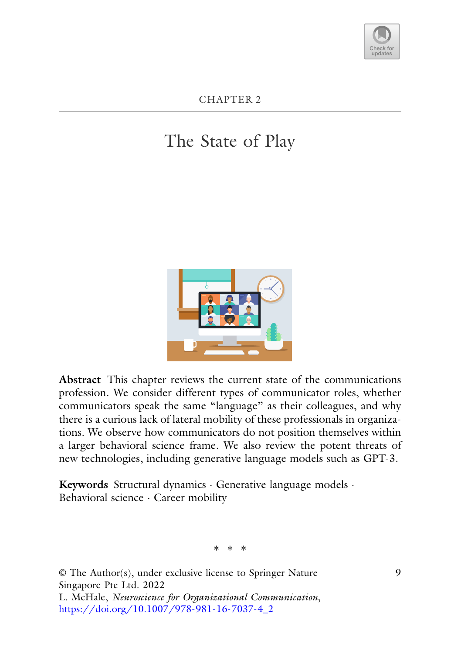

CHAPTER 2

# The State of Play



**Abstract** This chapter reviews the current state of the communications profession. We consider different types of communicator roles, whether communicators speak the same "language" as their colleagues, and why there is a curious lack of lateral mobility of these professionals in organizations. We observe how communicators do not position themselves within a larger behavioral science frame. We also review the potent threats of new technologies, including generative language models such as GPT-3.

**Keywords** Structural dynamics · Generative language models · Behavioral science · Career mobility

∗∗∗

© The Author(s), under exclusive license to Springer Nature Singapore Pte Ltd. 2022 L. McHale, *Neuroscience for Organizational Communication*, [https://doi.org/10.1007/978-981-16-7037-4\\_2](https://doi.org/10.1007/978-981-16-7037-4_2)

9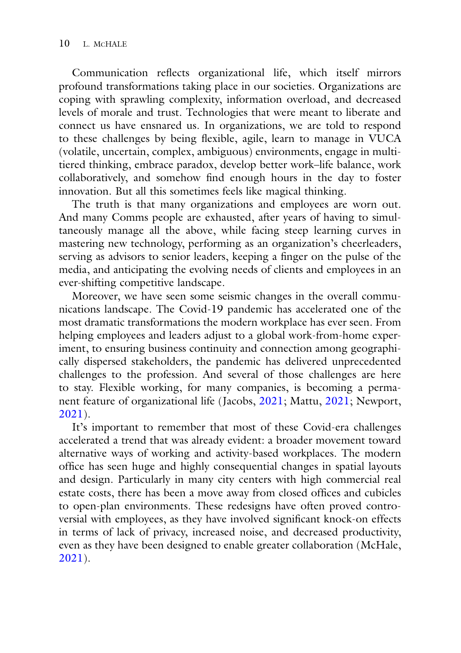Communication reflects organizational life, which itself mirrors profound transformations taking place in our societies. Organizations are coping with sprawling complexity, information overload, and decreased levels of morale and trust. Technologies that were meant to liberate and connect us have ensnared us. In organizations, we are told to respond to these challenges by being flexible, agile, learn to manage in VUCA (volatile, uncertain, complex, ambiguous) environments, engage in multitiered thinking, embrace paradox, develop better work–life balance, work collaboratively, and somehow find enough hours in the day to foster innovation. But all this sometimes feels like magical thinking.

The truth is that many organizations and employees are worn out. And many Comms people are exhausted, after years of having to simultaneously manage all the above, while facing steep learning curves in mastering new technology, performing as an organization's cheerleaders, serving as advisors to senior leaders, keeping a finger on the pulse of the media, and anticipating the evolving needs of clients and employees in an ever-shifting competitive landscape.

Moreover, we have seen some seismic changes in the overall communications landscape. The Covid-19 pandemic has accelerated one of the most dramatic transformations the modern workplace has ever seen. From helping employees and leaders adjust to a global work-from-home experiment, to ensuring business continuity and connection among geographically dispersed stakeholders, the pandemic has delivered unprecedented challenges to the profession. And several of those challenges are here to stay. Flexible working, for many companies, is becoming a permanent feature of organizational life (Jacobs, 2021; Mattu, 2021; Newport, 2021).

It's important to remember that most of these Covid-era challenges accelerated a trend that was already evident: a broader movement toward alternative ways of working and activity-based workplaces. The modern office has seen huge and highly consequential changes in spatial layouts and design. Particularly in many city centers with high commercial real estate costs, there has been a move away from closed offices and cubicles to open-plan environments. These redesigns have often proved controversial with employees, as they have involved significant knock-on effects in terms of lack of privacy, increased noise, and decreased productivity, even as they have been designed to enable greater collaboration (McHale, 2021).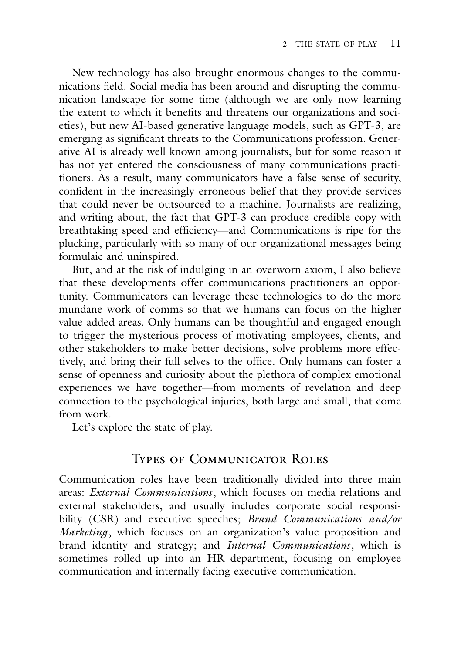New technology has also brought enormous changes to the communications field. Social media has been around and disrupting the communication landscape for some time (although we are only now learning the extent to which it benefits and threatens our organizations and societies), but new AI-based generative language models, such as GPT-3, are emerging as significant threats to the Communications profession. Generative AI is already well known among journalists, but for some reason it has not yet entered the consciousness of many communications practitioners. As a result, many communicators have a false sense of security, confident in the increasingly erroneous belief that they provide services that could never be outsourced to a machine. Journalists are realizing, and writing about, the fact that GPT-3 can produce credible copy with breathtaking speed and efficiency—and Communications is ripe for the plucking, particularly with so many of our organizational messages being formulaic and uninspired.

But, and at the risk of indulging in an overworn axiom, I also believe that these developments offer communications practitioners an opportunity. Communicators can leverage these technologies to do the more mundane work of comms so that we humans can focus on the higher value-added areas. Only humans can be thoughtful and engaged enough to trigger the mysterious process of motivating employees, clients, and other stakeholders to make better decisions, solve problems more effectively, and bring their full selves to the office. Only humans can foster a sense of openness and curiosity about the plethora of complex emotional experiences we have together—from moments of revelation and deep connection to the psychological injuries, both large and small, that come from work.

Let's explore the state of play.

#### Types of Communicator Roles

Communication roles have been traditionally divided into three main areas: *External Communications*, which focuses on media relations and external stakeholders, and usually includes corporate social responsibility (CSR) and executive speeches; *Brand Communications and/or Marketing*, which focuses on an organization's value proposition and brand identity and strategy; and *Internal Communications*, which is sometimes rolled up into an HR department, focusing on employee communication and internally facing executive communication.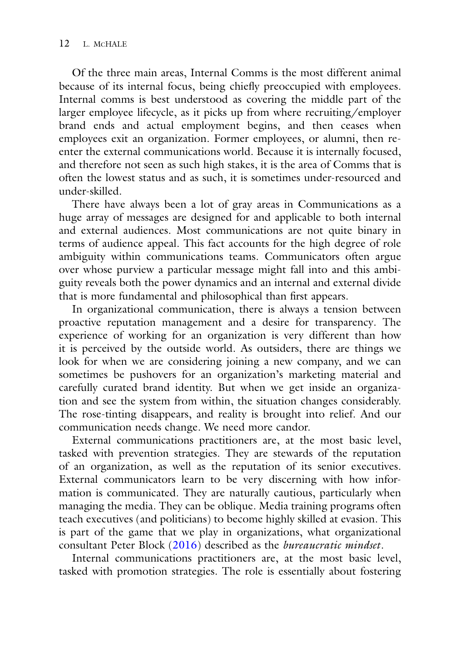Of the three main areas, Internal Comms is the most different animal because of its internal focus, being chiefly preoccupied with employees. Internal comms is best understood as covering the middle part of the larger employee lifecycle, as it picks up from where recruiting/employer brand ends and actual employment begins, and then ceases when employees exit an organization. Former employees, or alumni, then reenter the external communications world. Because it is internally focused, and therefore not seen as such high stakes, it is the area of Comms that is often the lowest status and as such, it is sometimes under-resourced and under-skilled.

There have always been a lot of gray areas in Communications as a huge array of messages are designed for and applicable to both internal and external audiences. Most communications are not quite binary in terms of audience appeal. This fact accounts for the high degree of role ambiguity within communications teams. Communicators often argue over whose purview a particular message might fall into and this ambiguity reveals both the power dynamics and an internal and external divide that is more fundamental and philosophical than first appears.

In organizational communication, there is always a tension between proactive reputation management and a desire for transparency. The experience of working for an organization is very different than how it is perceived by the outside world. As outsiders, there are things we look for when we are considering joining a new company, and we can sometimes be pushovers for an organization's marketing material and carefully curated brand identity. But when we get inside an organization and see the system from within, the situation changes considerably. The rose-tinting disappears, and reality is brought into relief. And our communication needs change. We need more candor.

External communications practitioners are, at the most basic level, tasked with prevention strategies. They are stewards of the reputation of an organization, as well as the reputation of its senior executives. External communicators learn to be very discerning with how information is communicated. They are naturally cautious, particularly when managing the media. They can be oblique. Media training programs often teach executives (and politicians) to become highly skilled at evasion. This is part of the game that we play in organizations, what organizational consultant Peter Block (2016) described as the *bureaucratic mindset*.

Internal communications practitioners are, at the most basic level, tasked with promotion strategies. The role is essentially about fostering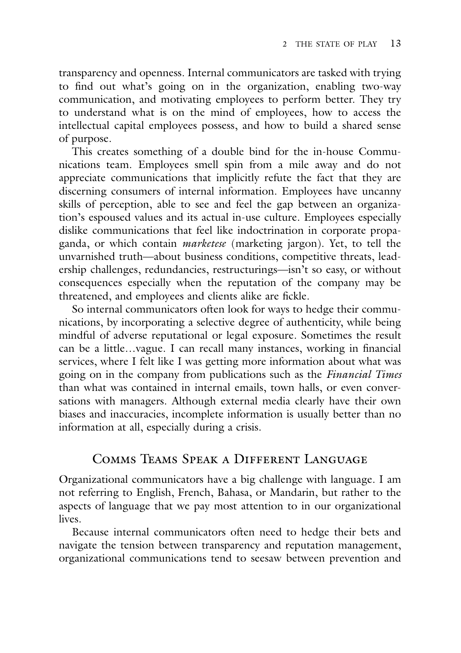transparency and openness. Internal communicators are tasked with trying to find out what's going on in the organization, enabling two-way communication, and motivating employees to perform better. They try to understand what is on the mind of employees, how to access the intellectual capital employees possess, and how to build a shared sense of purpose.

This creates something of a double bind for the in-house Communications team. Employees smell spin from a mile away and do not appreciate communications that implicitly refute the fact that they are discerning consumers of internal information. Employees have uncanny skills of perception, able to see and feel the gap between an organization's espoused values and its actual in-use culture. Employees especially dislike communications that feel like indoctrination in corporate propaganda, or which contain *marketese* (marketing jargon). Yet, to tell the unvarnished truth—about business conditions, competitive threats, leadership challenges, redundancies, restructurings—isn't so easy, or without consequences especially when the reputation of the company may be threatened, and employees and clients alike are fickle.

So internal communicators often look for ways to hedge their communications, by incorporating a selective degree of authenticity, while being mindful of adverse reputational or legal exposure. Sometimes the result can be a little…vague. I can recall many instances, working in financial services, where I felt like I was getting more information about what was going on in the company from publications such as the *Financial Times* than what was contained in internal emails, town halls, or even conversations with managers. Although external media clearly have their own biases and inaccuracies, incomplete information is usually better than no information at all, especially during a crisis.

## Comms Teams Speak a Different Language

Organizational communicators have a big challenge with language. I am not referring to English, French, Bahasa, or Mandarin, but rather to the aspects of language that we pay most attention to in our organizational lives.

Because internal communicators often need to hedge their bets and navigate the tension between transparency and reputation management, organizational communications tend to seesaw between prevention and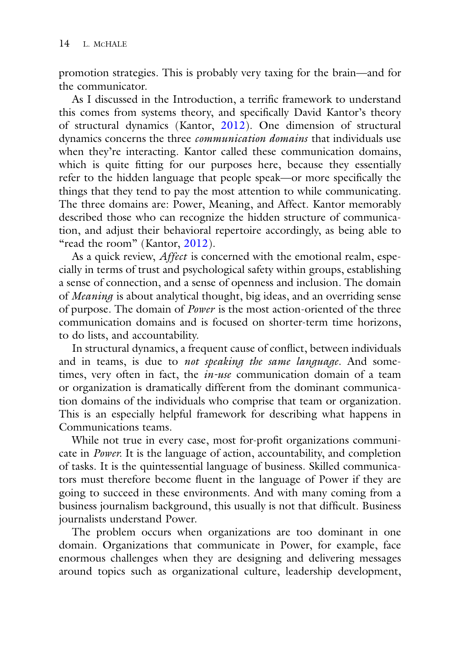promotion strategies. This is probably very taxing for the brain—and for the communicator.

As I discussed in the Introduction, a terrific framework to understand this comes from systems theory, and specifically David Kantor's theory of structural dynamics (Kantor, 2012). One dimension of structural dynamics concerns the three *communication domains* that individuals use when they're interacting. Kantor called these communication domains, which is quite fitting for our purposes here, because they essentially refer to the hidden language that people speak—or more specifically the things that they tend to pay the most attention to while communicating. The three domains are: Power, Meaning, and Affect. Kantor memorably described those who can recognize the hidden structure of communication, and adjust their behavioral repertoire accordingly, as being able to "read the room" (Kantor, 2012).

As a quick review, *Affect* is concerned with the emotional realm, especially in terms of trust and psychological safety within groups, establishing a sense of connection, and a sense of openness and inclusion. The domain of *Meaning* is about analytical thought, big ideas, and an overriding sense of purpose. The domain of *Power* is the most action-oriented of the three communication domains and is focused on shorter-term time horizons, to do lists, and accountability.

In structural dynamics, a frequent cause of conflict, between individuals and in teams, is due to *not speaking the same language*. And sometimes, very often in fact, the *in-use* communication domain of a team or organization is dramatically different from the dominant communication domains of the individuals who comprise that team or organization. This is an especially helpful framework for describing what happens in Communications teams.

While not true in every case, most for-profit organizations communicate in *Power.* It is the language of action, accountability, and completion of tasks. It is the quintessential language of business. Skilled communicators must therefore become fluent in the language of Power if they are going to succeed in these environments. And with many coming from a business journalism background, this usually is not that difficult. Business journalists understand Power.

The problem occurs when organizations are too dominant in one domain. Organizations that communicate in Power, for example, face enormous challenges when they are designing and delivering messages around topics such as organizational culture, leadership development,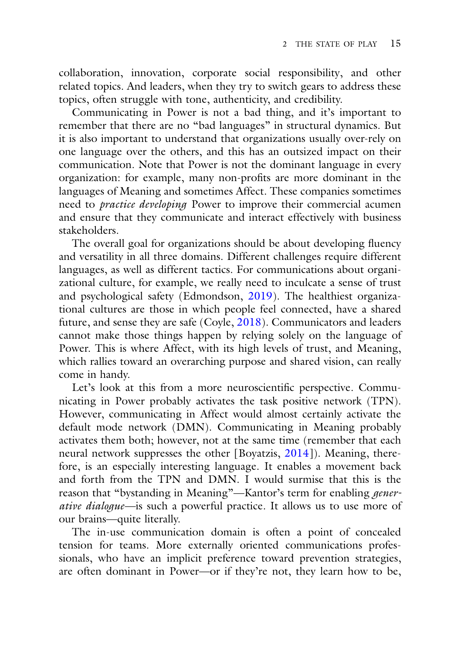collaboration, innovation, corporate social responsibility, and other related topics. And leaders, when they try to switch gears to address these topics, often struggle with tone, authenticity, and credibility.

Communicating in Power is not a bad thing, and it's important to remember that there are no "bad languages" in structural dynamics. But it is also important to understand that organizations usually over-rely on one language over the others, and this has an outsized impact on their communication. Note that Power is not the dominant language in every organization: for example, many non-profits are more dominant in the languages of Meaning and sometimes Affect. These companies sometimes need to *practice developing* Power to improve their commercial acumen and ensure that they communicate and interact effectively with business stakeholders.

The overall goal for organizations should be about developing fluency and versatility in all three domains. Different challenges require different languages, as well as different tactics. For communications about organizational culture, for example, we really need to inculcate a sense of trust and psychological safety (Edmondson, 2019). The healthiest organizational cultures are those in which people feel connected, have a shared future, and sense they are safe (Coyle, 2018). Communicators and leaders cannot make those things happen by relying solely on the language of Power. This is where Affect, with its high levels of trust, and Meaning, which rallies toward an overarching purpose and shared vision, can really come in handy.

Let's look at this from a more neuroscientific perspective. Communicating in Power probably activates the task positive network (TPN). However, communicating in Affect would almost certainly activate the default mode network (DMN). Communicating in Meaning probably activates them both; however, not at the same time (remember that each neural network suppresses the other [Boyatzis, 2014]). Meaning, therefore, is an especially interesting language. It enables a movement back and forth from the TPN and DMN. I would surmise that this is the reason that "bystanding in Meaning"—Kantor's term for enabling *generative dialogue*—is such a powerful practice. It allows us to use more of our brains—quite literally.

The in-use communication domain is often a point of concealed tension for teams. More externally oriented communications professionals, who have an implicit preference toward prevention strategies, are often dominant in Power—or if they're not, they learn how to be,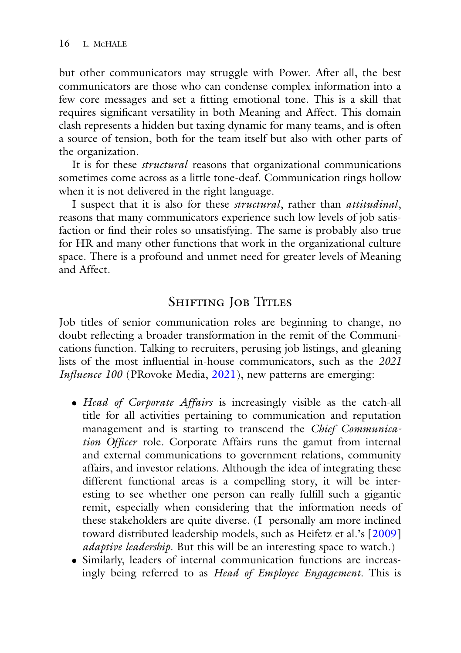but other communicators may struggle with Power. After all, the best communicators are those who can condense complex information into a few core messages and set a fitting emotional tone. This is a skill that requires significant versatility in both Meaning and Affect. This domain clash represents a hidden but taxing dynamic for many teams, and is often a source of tension, both for the team itself but also with other parts of the organization.

It is for these *structural* reasons that organizational communications sometimes come across as a little tone-deaf. Communication rings hollow when it is not delivered in the right language.

I suspect that it is also for these *structural*, rather than *attitudinal*, reasons that many communicators experience such low levels of job satisfaction or find their roles so unsatisfying. The same is probably also true for HR and many other functions that work in the organizational culture space. There is a profound and unmet need for greater levels of Meaning and Affect.

# SHIFTING JOB TITLES

Job titles of senior communication roles are beginning to change, no doubt reflecting a broader transformation in the remit of the Communications function. Talking to recruiters, perusing job listings, and gleaning lists of the most influential in-house communicators, such as the *2021 Influence 100* (PRovoke Media, 2021), new patterns are emerging:

- *Head of Corporate Affairs* is increasingly visible as the catch-all title for all activities pertaining to communication and reputation management and is starting to transcend the *Chief Communication Officer* role. Corporate Affairs runs the gamut from internal and external communications to government relations, community affairs, and investor relations. Although the idea of integrating these different functional areas is a compelling story, it will be interesting to see whether one person can really fulfill such a gigantic remit, especially when considering that the information needs of these stakeholders are quite diverse. (I personally am more inclined toward distributed leadership models, such as Heifetz et al.'s [2009] *adaptive leadership*. But this will be an interesting space to watch.)
- Similarly, leaders of internal communication functions are increasingly being referred to as *Head of Employee Engagement.* This is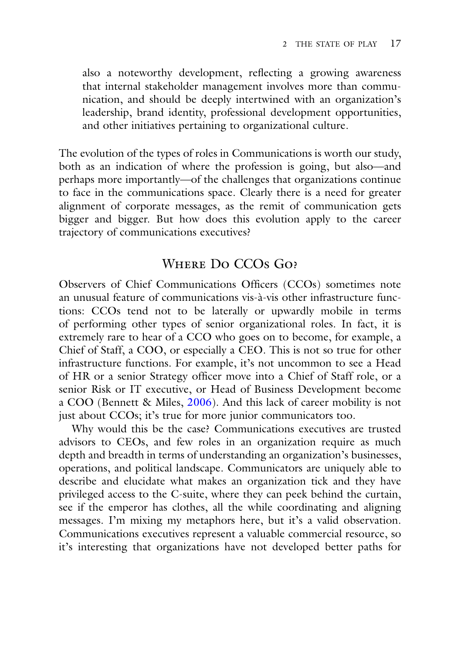also a noteworthy development, reflecting a growing awareness that internal stakeholder management involves more than communication, and should be deeply intertwined with an organization's leadership, brand identity, professional development opportunities, and other initiatives pertaining to organizational culture.

The evolution of the types of roles in Communications is worth our study, both as an indication of where the profession is going, but also—and perhaps more importantly—of the challenges that organizations continue to face in the communications space. Clearly there is a need for greater alignment of corporate messages, as the remit of communication gets bigger and bigger. But how does this evolution apply to the career trajectory of communications executives?

## Where Do CCOs Go?

Observers of Chief Communications Officers (CCOs) sometimes note an unusual feature of communications vis-à-vis other infrastructure functions: CCOs tend not to be laterally or upwardly mobile in terms of performing other types of senior organizational roles. In fact, it is extremely rare to hear of a CCO who goes on to become, for example, a Chief of Staff, a COO, or especially a CEO. This is not so true for other infrastructure functions. For example, it's not uncommon to see a Head of HR or a senior Strategy officer move into a Chief of Staff role, or a senior Risk or IT executive, or Head of Business Development become a COO (Bennett & Miles, 2006). And this lack of career mobility is not just about CCOs; it's true for more junior communicators too.

Why would this be the case? Communications executives are trusted advisors to CEOs, and few roles in an organization require as much depth and breadth in terms of understanding an organization's businesses, operations, and political landscape. Communicators are uniquely able to describe and elucidate what makes an organization tick and they have privileged access to the C-suite, where they can peek behind the curtain, see if the emperor has clothes, all the while coordinating and aligning messages. I'm mixing my metaphors here, but it's a valid observation. Communications executives represent a valuable commercial resource, so it's interesting that organizations have not developed better paths for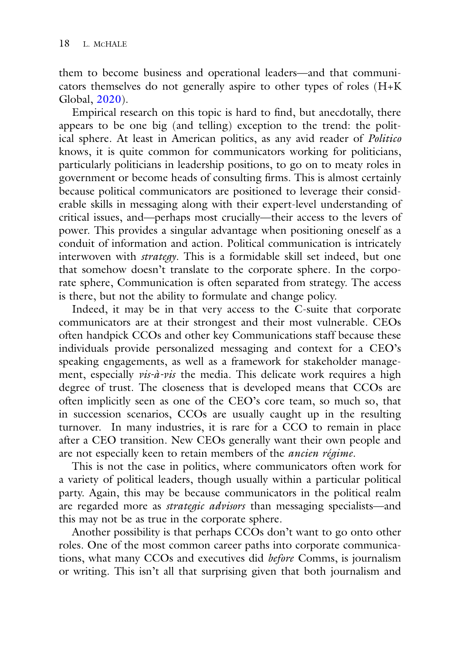them to become business and operational leaders—and that communicators themselves do not generally aspire to other types of roles (H+K Global, 2020).

Empirical research on this topic is hard to find, but anecdotally, there appears to be one big (and telling) exception to the trend: the political sphere. At least in American politics, as any avid reader of *Politico* knows, it is quite common for communicators working for politicians, particularly politicians in leadership positions, to go on to meaty roles in government or become heads of consulting firms. This is almost certainly because political communicators are positioned to leverage their considerable skills in messaging along with their expert-level understanding of critical issues, and—perhaps most crucially—their access to the levers of power. This provides a singular advantage when positioning oneself as a conduit of information and action. Political communication is intricately interwoven with *strategy*. This is a formidable skill set indeed, but one that somehow doesn't translate to the corporate sphere. In the corporate sphere, Communication is often separated from strategy. The access is there, but not the ability to formulate and change policy.

Indeed, it may be in that very access to the C-suite that corporate communicators are at their strongest and their most vulnerable. CEOs often handpick CCOs and other key Communications staff because these individuals provide personalized messaging and context for a CEO's speaking engagements, as well as a framework for stakeholder management, especially *vis-à-vis* the media. This delicate work requires a high degree of trust. The closeness that is developed means that CCOs are often implicitly seen as one of the CEO's core team, so much so, that in succession scenarios, CCOs are usually caught up in the resulting turnover. In many industries, it is rare for a CCO to remain in place after a CEO transition. New CEOs generally want their own people and are not especially keen to retain members of the *ancien régime*.

This is not the case in politics, where communicators often work for a variety of political leaders, though usually within a particular political party. Again, this may be because communicators in the political realm are regarded more as *strategic advisors* than messaging specialists—and this may not be as true in the corporate sphere.

Another possibility is that perhaps CCOs don't want to go onto other roles. One of the most common career paths into corporate communications, what many CCOs and executives did *before* Comms, is journalism or writing. This isn't all that surprising given that both journalism and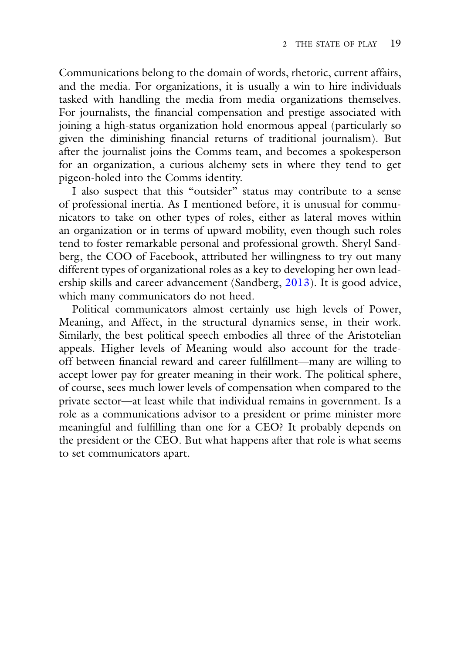Communications belong to the domain of words, rhetoric, current affairs, and the media. For organizations, it is usually a win to hire individuals tasked with handling the media from media organizations themselves. For journalists, the financial compensation and prestige associated with joining a high-status organization hold enormous appeal (particularly so given the diminishing financial returns of traditional journalism). But after the journalist joins the Comms team, and becomes a spokesperson for an organization, a curious alchemy sets in where they tend to get pigeon-holed into the Comms identity.

I also suspect that this "outsider" status may contribute to a sense of professional inertia. As I mentioned before, it is unusual for communicators to take on other types of roles, either as lateral moves within an organization or in terms of upward mobility, even though such roles tend to foster remarkable personal and professional growth. Sheryl Sandberg, the COO of Facebook, attributed her willingness to try out many different types of organizational roles as a key to developing her own leadership skills and career advancement (Sandberg, 2013). It is good advice, which many communicators do not heed.

Political communicators almost certainly use high levels of Power, Meaning, and Affect, in the structural dynamics sense, in their work. Similarly, the best political speech embodies all three of the Aristotelian appeals. Higher levels of Meaning would also account for the tradeoff between financial reward and career fulfillment—many are willing to accept lower pay for greater meaning in their work. The political sphere, of course, sees much lower levels of compensation when compared to the private sector—at least while that individual remains in government. Is a role as a communications advisor to a president or prime minister more meaningful and fulfilling than one for a CEO? It probably depends on the president or the CEO. But what happens after that role is what seems to set communicators apart.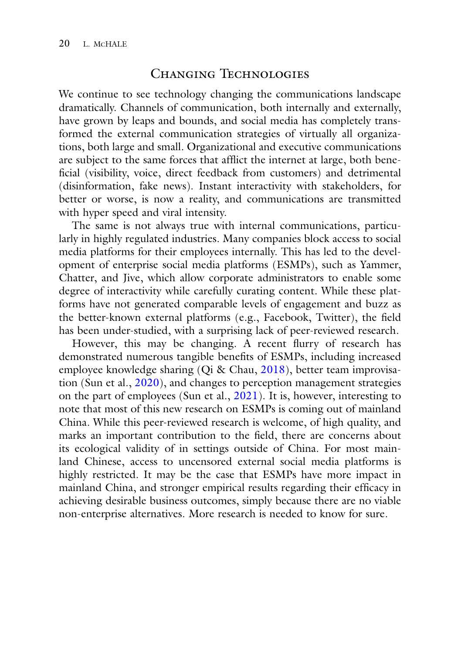## Changing Technologies

We continue to see technology changing the communications landscape dramatically. Channels of communication, both internally and externally, have grown by leaps and bounds, and social media has completely transformed the external communication strategies of virtually all organizations, both large and small. Organizational and executive communications are subject to the same forces that afflict the internet at large, both beneficial (visibility, voice, direct feedback from customers) and detrimental (disinformation, fake news). Instant interactivity with stakeholders, for better or worse, is now a reality, and communications are transmitted with hyper speed and viral intensity.

The same is not always true with internal communications, particularly in highly regulated industries. Many companies block access to social media platforms for their employees internally. This has led to the development of enterprise social media platforms (ESMPs), such as Yammer, Chatter, and Jive, which allow corporate administrators to enable some degree of interactivity while carefully curating content. While these platforms have not generated comparable levels of engagement and buzz as the better-known external platforms (e.g., Facebook, Twitter), the field has been under-studied, with a surprising lack of peer-reviewed research.

However, this may be changing. A recent flurry of research has demonstrated numerous tangible benefits of ESMPs, including increased employee knowledge sharing (Qi & Chau, 2018), better team improvisation (Sun et al., 2020), and changes to perception management strategies on the part of employees (Sun et al., 2021). It is, however, interesting to note that most of this new research on ESMPs is coming out of mainland China. While this peer-reviewed research is welcome, of high quality, and marks an important contribution to the field, there are concerns about its ecological validity of in settings outside of China. For most mainland Chinese, access to uncensored external social media platforms is highly restricted. It may be the case that ESMPs have more impact in mainland China, and stronger empirical results regarding their efficacy in achieving desirable business outcomes, simply because there are no viable non-enterprise alternatives. More research is needed to know for sure.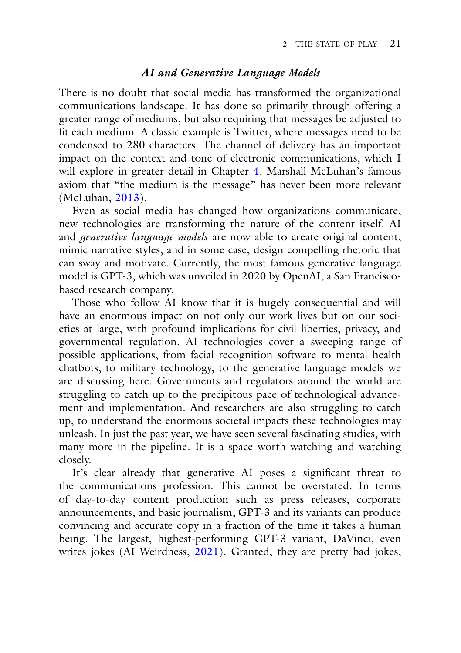#### *AI and Generative Language Models*

There is no doubt that social media has transformed the organizational communications landscape. It has done so primarily through offering a greater range of mediums, but also requiring that messages be adjusted to fit each medium. A classic example is Twitter, where messages need to be condensed to 280 characters. The channel of delivery has an important impact on the context and tone of electronic communications, which I will explore in greater detail in Chapter 4. Marshall McLuhan's famous axiom that "the medium is the message" has never been more relevant (McLuhan, 2013).

Even as social media has changed how organizations communicate, new technologies are transforming the nature of the content itself. AI and *generative language models* are now able to create original content, mimic narrative styles, and in some case, design compelling rhetoric that can sway and motivate. Currently, the most famous generative language model is GPT-3, which was unveiled in 2020 by OpenAI, a San Franciscobased research company.

Those who follow AI know that it is hugely consequential and will have an enormous impact on not only our work lives but on our societies at large, with profound implications for civil liberties, privacy, and governmental regulation. AI technologies cover a sweeping range of possible applications, from facial recognition software to mental health chatbots, to military technology, to the generative language models we are discussing here. Governments and regulators around the world are struggling to catch up to the precipitous pace of technological advancement and implementation. And researchers are also struggling to catch up, to understand the enormous societal impacts these technologies may unleash. In just the past year, we have seen several fascinating studies, with many more in the pipeline. It is a space worth watching and watching closely.

It's clear already that generative AI poses a significant threat to the communications profession. This cannot be overstated. In terms of day-to-day content production such as press releases, corporate announcements, and basic journalism, GPT-3 and its variants can produce convincing and accurate copy in a fraction of the time it takes a human being. The largest, highest-performing GPT-3 variant, DaVinci, even writes jokes (AI Weirdness, 2021). Granted, they are pretty bad jokes,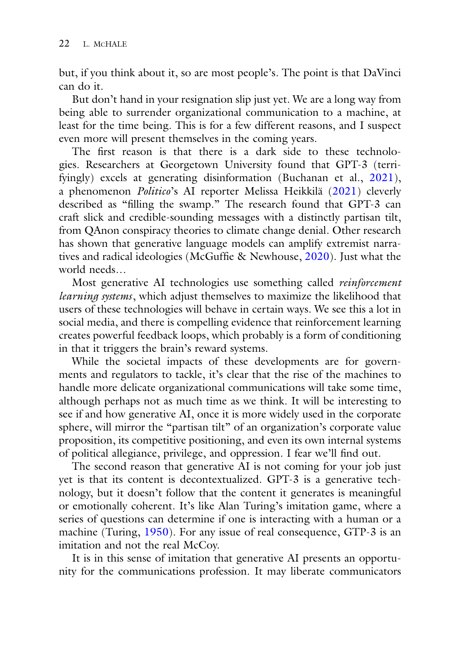but, if you think about it, so are most people's. The point is that DaVinci can do it.

But don't hand in your resignation slip just yet. We are a long way from being able to surrender organizational communication to a machine, at least for the time being. This is for a few different reasons, and I suspect even more will present themselves in the coming years.

The first reason is that there is a dark side to these technologies. Researchers at Georgetown University found that GPT-3 (terrifyingly) excels at generating disinformation (Buchanan et al., 2021), a phenomenon *Politico*'s AI reporter Melissa Heikkilä (2021) cleverly described as "filling the swamp." The research found that GPT-3 can craft slick and credible-sounding messages with a distinctly partisan tilt, from QAnon conspiracy theories to climate change denial. Other research has shown that generative language models can amplify extremist narratives and radical ideologies (McGuffie & Newhouse, 2020). Just what the world needs…

Most generative AI technologies use something called *reinforcement learning systems*, which adjust themselves to maximize the likelihood that users of these technologies will behave in certain ways. We see this a lot in social media, and there is compelling evidence that reinforcement learning creates powerful feedback loops, which probably is a form of conditioning in that it triggers the brain's reward systems.

While the societal impacts of these developments are for governments and regulators to tackle, it's clear that the rise of the machines to handle more delicate organizational communications will take some time, although perhaps not as much time as we think. It will be interesting to see if and how generative AI, once it is more widely used in the corporate sphere, will mirror the "partisan tilt" of an organization's corporate value proposition, its competitive positioning, and even its own internal systems of political allegiance, privilege, and oppression. I fear we'll find out.

The second reason that generative AI is not coming for your job just yet is that its content is decontextualized. GPT-3 is a generative technology, but it doesn't follow that the content it generates is meaningful or emotionally coherent. It's like Alan Turing's imitation game, where a series of questions can determine if one is interacting with a human or a machine (Turing, 1950). For any issue of real consequence, GTP-3 is an imitation and not the real McCoy.

It is in this sense of imitation that generative AI presents an opportunity for the communications profession. It may liberate communicators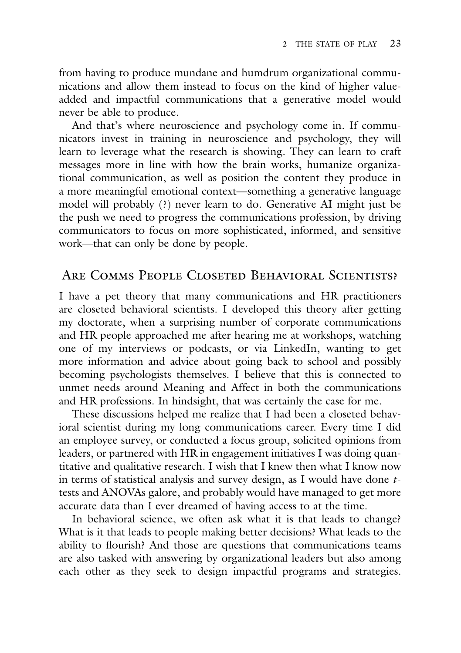from having to produce mundane and humdrum organizational communications and allow them instead to focus on the kind of higher valueadded and impactful communications that a generative model would never be able to produce.

And that's where neuroscience and psychology come in. If communicators invest in training in neuroscience and psychology, they will learn to leverage what the research is showing. They can learn to craft messages more in line with how the brain works, humanize organizational communication, as well as position the content they produce in a more meaningful emotional context—something a generative language model will probably (?) never learn to do. Generative AI might just be the push we need to progress the communications profession, by driving communicators to focus on more sophisticated, informed, and sensitive work—that can only be done by people.

## Are Comms People Closeted Behavioral Scientists?

I have a pet theory that many communications and HR practitioners are closeted behavioral scientists. I developed this theory after getting my doctorate, when a surprising number of corporate communications and HR people approached me after hearing me at workshops, watching one of my interviews or podcasts, or via LinkedIn, wanting to get more information and advice about going back to school and possibly becoming psychologists themselves. I believe that this is connected to unmet needs around Meaning and Affect in both the communications and HR professions. In hindsight, that was certainly the case for me.

These discussions helped me realize that I had been a closeted behavioral scientist during my long communications career. Every time I did an employee survey, or conducted a focus group, solicited opinions from leaders, or partnered with HR in engagement initiatives I was doing quantitative and qualitative research. I wish that I knew then what I know now in terms of statistical analysis and survey design, as I would have done *t*tests and ANOVAs galore, and probably would have managed to get more accurate data than I ever dreamed of having access to at the time.

In behavioral science, we often ask what it is that leads to change? What is it that leads to people making better decisions? What leads to the ability to flourish? And those are questions that communications teams are also tasked with answering by organizational leaders but also among each other as they seek to design impactful programs and strategies.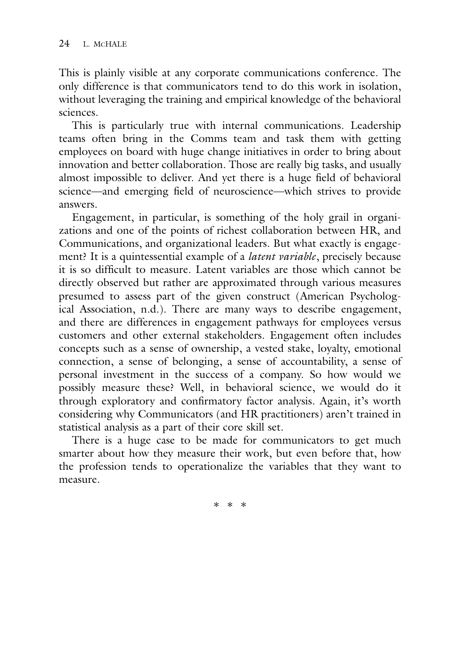This is plainly visible at any corporate communications conference. The only difference is that communicators tend to do this work in isolation, without leveraging the training and empirical knowledge of the behavioral sciences.

This is particularly true with internal communications. Leadership teams often bring in the Comms team and task them with getting employees on board with huge change initiatives in order to bring about innovation and better collaboration. Those are really big tasks, and usually almost impossible to deliver. And yet there is a huge field of behavioral science—and emerging field of neuroscience—which strives to provide answers.

Engagement, in particular, is something of the holy grail in organizations and one of the points of richest collaboration between HR, and Communications, and organizational leaders. But what exactly is engagement? It is a quintessential example of a *latent variable*, precisely because it is so difficult to measure. Latent variables are those which cannot be directly observed but rather are approximated through various measures presumed to assess part of the given construct (American Psychological Association, n.d.). There are many ways to describe engagement, and there are differences in engagement pathways for employees versus customers and other external stakeholders. Engagement often includes concepts such as a sense of ownership, a vested stake, loyalty, emotional connection, a sense of belonging, a sense of accountability, a sense of personal investment in the success of a company. So how would we possibly measure these? Well, in behavioral science, we would do it through exploratory and confirmatory factor analysis. Again, it's worth considering why Communicators (and HR practitioners) aren't trained in statistical analysis as a part of their core skill set.

There is a huge case to be made for communicators to get much smarter about how they measure their work, but even before that, how the profession tends to operationalize the variables that they want to measure.

∗∗∗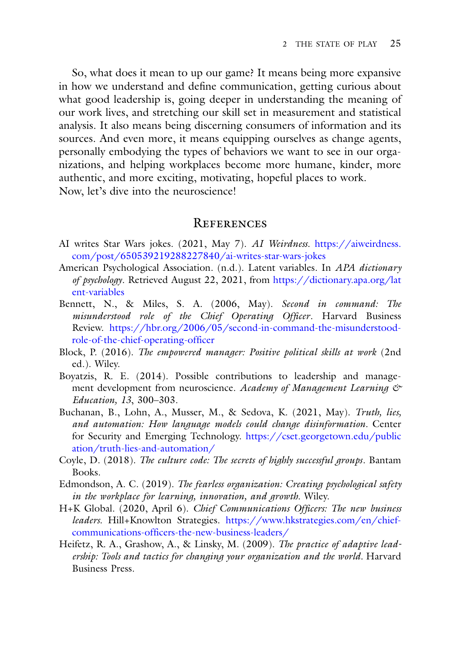So, what does it mean to up our game? It means being more expansive in how we understand and define communication, getting curious about what good leadership is, going deeper in understanding the meaning of our work lives, and stretching our skill set in measurement and statistical analysis. It also means being discerning consumers of information and its sources. And even more, it means equipping ourselves as change agents, personally embodying the types of behaviors we want to see in our organizations, and helping workplaces become more humane, kinder, more authentic, and more exciting, motivating, hopeful places to work. Now, let's dive into the neuroscience!

#### **REFERENCES**

- AI writes Star Wars jokes. (2021, May 7). *AI Weirdness.* https://aiweirdness. [com/post/650539219288227840/ai-writes-star-wars-jokes](https://aiweirdness.com/post/650539219288227840/ai-writes-star-wars-jokes)
- American Psychological Association. (n.d.). Latent variables. In *APA dictionary of psychology*[. Retrieved August 22, 2021, from](https://dictionary.apa.org/latent-variables) https://dictionary.apa.org/lat ent-variables
- Bennett, N., & Miles, S. A. (2006, May). *Second in command: The misunderstood role of the Chief Operating Officer*. Harvard Business Review. [https://hbr.org/2006/05/second-in-command-the-misunderstood](https://hbr.org/2006/05/second-in-command-the-misunderstood-role-of-the-chief-operating-officer)role-of-the-chief-operating-officer
- Block, P. (2016). *The empowered manager: Positive political skills at work* (2nd ed.). Wiley.
- Boyatzis, R. E. (2014). Possible contributions to leadership and management development from neuroscience. *Academy of Management Learning & Education, 13*, 300–303.
- Buchanan, B., Lohn, A., Musser, M., & Sedova, K. (2021, May). *Truth, lies, and automation: How language models could change disinformation.* Center [for Security and Emerging Technology.](https://cset.georgetown.edu/publication/truth-lies-and-automation/) https://cset.georgetown.edu/public ation/truth-lies-and-automation/
- Coyle, D. (2018). *The culture code: The secrets of highly successful groups*. Bantam Books.
- Edmondson, A. C. (2019). *The fearless organization: Creating psychological safety in the workplace for learning, innovation, and growth*. Wiley.
- H+K Global. (2020, April 6). *Chief Communications Officers: The new business leaders.* Hill+Knowlton Strategies. https://www.hkstrategies.com/en/chief[communications-officers-the-new-business-leaders/](https://www.hkstrategies.com/en/chief-communications-officers-the-new-business-leaders/)
- Heifetz, R. A., Grashow, A., & Linsky, M. (2009). *The practice of adaptive leadership: Tools and tactics for changing your organization and the world.* Harvard Business Press.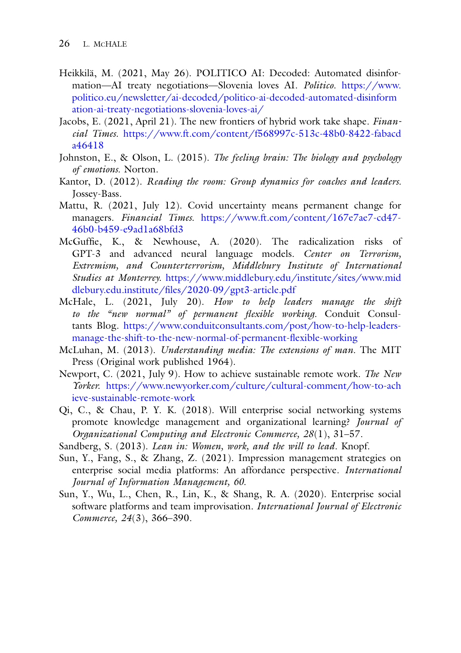- Heikkilä, M. (2021, May 26). POLITICO AI: Decoded: Automated disinformation—AI treaty negotiations—Slovenia loves AI. *Politico*. https://www. [politico.eu/newsletter/ai-decoded/politico-ai-decoded-automated-disinform](https://www.politico.eu/newsletter/ai-decoded/politico-ai-decoded-automated-disinformation-ai-treaty-negotiations-slovenia-loves-ai/) ation-ai-treaty-negotiations-slovenia-loves-ai/
- Jacobs, E. (2021, April 21). The new frontiers of hybrid work take shape. *Financial Times.* [https://www.ft.com/content/f568997c-513c-48b0-8422-fabacd](https://www.ft.com/content/f568997c-513c-48b0-8422-fabacda46418) a46418
- Johnston, E., & Olson, L. (2015). *The feeling brain: The biology and psychology of emotions.* Norton.
- Kantor, D. (2012). *Reading the room: Group dynamics for coaches and leaders.* Jossey-Bass.
- Mattu, R. (2021, July 12). Covid uncertainty means permanent change for managers. *Financial Times.* [https://www.ft.com/content/167e7ae7-cd47-](https://www.ft.com/content/167e7ae7-cd47-46b0-b459-e9ad1a68bfd3) 46b0-b459-e9ad1a68bfd3
- McGuffie, K., & Newhouse, A. (2020). The radicalization risks of GPT-3 and advanced neural language models. *Center on Terrorism, Extremism, and Counterterrorism, Middlebury Institute of International Studies at Monterrey.* [https://www.middlebury.edu/institute/sites/www.mid](https://www.middlebury.edu/institute/sites/www.middlebury.edu.institute/files/2020-09/gpt3-article.pdf) dlebury.edu.institute/files/2020-09/gpt3-article.pdf
- McHale, L. (2021, July 20). *How to help leaders manage the shift to the "new normal" of permanent flexible working.* Conduit Consultants Blog. https://www.conduitconsultants.com/post/how-to-help-leaders[manage-the-shift-to-the-new-normal-of-permanent-flexible-working](https://www.conduitconsultants.com/post/how-to-help-leaders-manage-the-shift-to-the-new-normal-of-permanent-flexible-working)
- McLuhan, M. (2013). *Understanding media: The extensions of man*. The MIT Press (Original work published 1964).
- Newport, C. (2021, July 9). How to achieve sustainable remote work. *The New Yorker.* [https://www.newyorker.com/culture/cultural-comment/how-to-ach](https://www.newyorker.com/culture/cultural-comment/how-to-achieve-sustainable-remote-work) ieve-sustainable-remote-work
- Qi, C., & Chau, P. Y. K. (2018). Will enterprise social networking systems promote knowledge management and organizational learning? *Journal of Organizational Computing and Electronic Commerce, 28*(1), 31–57.
- Sandberg, S. (2013). *Lean in: Women, work, and the will to lead*. Knopf.
- Sun, Y., Fang, S., & Zhang, Z. (2021). Impression management strategies on enterprise social media platforms: An affordance perspective. *International Journal of Information Management, 60.*
- Sun, Y., Wu, L., Chen, R., Lin, K., & Shang, R. A. (2020). Enterprise social software platforms and team improvisation. *International Journal of Electronic Commerce, 24*(3), 366–390.